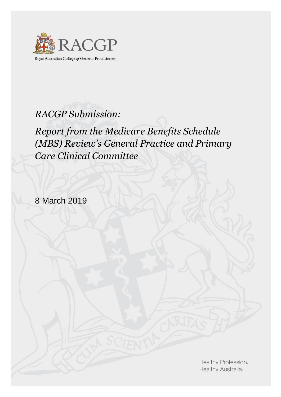

Royal Australian College of General Practitioners

# *RACGP Submission:*

*Report from the Medicare Benefits Schedule (MBS) Review's General Practice and Primary Care Clinical Committee*

8 March 2019

Healthy Profession. Healthy Australia.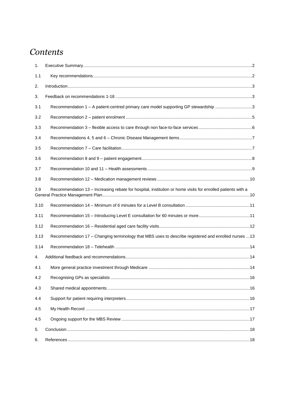# *Contents*

| 1.   |                                                                                                             |  |
|------|-------------------------------------------------------------------------------------------------------------|--|
| 1.1  |                                                                                                             |  |
| 2.   |                                                                                                             |  |
| 3.   |                                                                                                             |  |
| 3.1  | Recommendation 1 - A patient-centred primary care model supporting GP stewardship 3                         |  |
| 3.2  |                                                                                                             |  |
| 3.3  |                                                                                                             |  |
| 3.4  |                                                                                                             |  |
| 3.5  |                                                                                                             |  |
| 3.6  |                                                                                                             |  |
| 3.7  |                                                                                                             |  |
| 3.8  |                                                                                                             |  |
| 3.9  | Recommendation 13 - Increasing rebate for hospital, institution or home visits for enrolled patients with a |  |
| 3.10 |                                                                                                             |  |
| 3.11 |                                                                                                             |  |
| 3.12 |                                                                                                             |  |
| 3.13 | Recommendation 17 - Changing terminology that MBS uses to describe registered and enrolled nurses  13       |  |
| 3.14 |                                                                                                             |  |
| 4.   |                                                                                                             |  |
| 4.1  |                                                                                                             |  |
| 4.2  |                                                                                                             |  |
| 4.3  |                                                                                                             |  |
| 4.4  |                                                                                                             |  |
| 4.5  |                                                                                                             |  |
| 4.5  |                                                                                                             |  |
| 5.   |                                                                                                             |  |
| 6.   |                                                                                                             |  |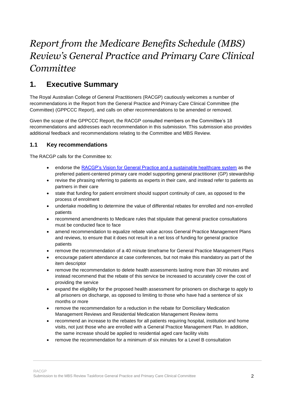# *Report from the Medicare Benefits Schedule (MBS) Review's General Practice and Primary Care Clinical Committee*

# <span id="page-2-0"></span>**1. Executive Summary**

The Royal Australian College of General Practitioners (RACGP) cautiously welcomes a number of recommendations in the Report from the General Practice and Primary Care Clinical Committee (the Committee) (GPPCCC Report), and calls on other recommendations to be amended or removed.

Given the scope of the GPPCCC Report, the RACGP consulted members on the Committee's 18 recommendations and addresses each recommendation in this submission. This submission also provides additional feedback and recommendations relating to the Committee and MBS Review.

# <span id="page-2-1"></span>**1.1 Key recommendations**

The RACGP calls for the Committee to:

- endorse the [RACGP's Vision for General Practice and a sustainable healthcare system](https://www.racgp.org.au/the-racgp/about-us/vision-and-strategy/vision-for-general-practice) as the preferred patient-centered primary care model supporting general practitioner (GP) stewardship
- revise the phrasing referring to patients as experts in their care, and instead refer to patients as partners in their care
- state that funding for patient enrolment should support continuity of care, as opposed to the process of enrolment
- undertake modelling to determine the value of differential rebates for enrolled and non-enrolled patients
- recommend amendments to Medicare rules that stipulate that general practice consultations must be conducted face to face
- amend recommendation to equalize rebate value across General Practice Management Plans and reviews, to ensure that it does not result in a net loss of funding for general practice patients
- remove the recommendation of a 40 minute timeframe for General Practice Management Plans
- encourage patient attendance at case conferences, but not make this mandatory as part of the item descriptor
- remove the recommendation to delete health assessments lasting more than 30 minutes and instead recommend that the rebate of this service be increased to accurately cover the cost of providing the service
- expand the eligibility for the proposed health assessment for prisoners on discharge to apply to all prisoners on discharge, as opposed to limiting to those who have had a sentence of six months or more
- remove the recommendation for a reduction in the rebate for Domiciliary Medication Management Reviews and Residential Medication Management Review items
- recommend an increase to the rebates for all patients requiring hospital, institution and home visits, not just those who are enrolled with a General Practice Management Plan. In addition, the same increase should be applied to residential aged care facility visits
- remove the recommendation for a minimum of six minutes for a Level B consultation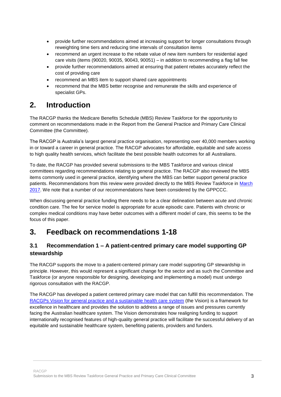- provide further recommendations aimed at increasing support for longer consultations through reweighting time tiers and reducing time intervals of consultation items
- recommend an urgent increase to the rebate value of new item numbers for residential aged care visits (items (90020, 90035, 90043, 90051) – in addition to recommending a flag fall fee
- provide further recommendations aimed at ensuring that patient rebates accurately reflect the cost of providing care
- recommend an MBS item to support shared care appointments
- recommend that the MBS better recognise and remunerate the skills and experience of specialist GPs.

# <span id="page-3-0"></span>**2. Introduction**

The RACGP thanks the Medicare Benefits Schedule (MBS) Review Taskforce for the opportunity to comment on recommendations made in the Report from the General Practice and Primary Care Clinical Committee (the Committee).

The RACGP is Australia's largest general practice organisation, representing over 40,000 members working in or toward a career in general practice. The RACGP advocates for affordable, equitable and safe access to high quality health services, which facilitate the best possible health outcomes for all Australians.

To date, the RACGP has provided several submissions to the MBS Taskforce and various clinical committees regarding recommendations relating to general practice. The RACGP also reviewed the MBS items commonly used in general practice, identifying where the MBS can better support general practice patients. Recommendations from this review were provided directly to the MBS Review Taskforce in [March](https://www.racgp.org.au/advocacy/reports-and-submissions/view-all-reports-and-submissions/2017-reports-and-submissions/reports-to-medicare-benefits-schedule)  [2017.](https://www.racgp.org.au/advocacy/reports-and-submissions/view-all-reports-and-submissions/2017-reports-and-submissions/reports-to-medicare-benefits-schedule) We note that a number of our recommendations have been considered by the GPPCCC.

When discussing general practice funding there needs to be a clear delineation between acute and chronic condition care. The fee for service model is appropriate for acute episodic care. Patients with chronic or complex medical conditions may have better outcomes with a different model of care, this seems to be the focus of this paper.

# <span id="page-3-1"></span>**3. Feedback on recommendations 1-18**

# <span id="page-3-2"></span>**3.1 Recommendation 1 – A patient-centred primary care model supporting GP stewardship**

The RACGP supports the move to a patient-centered primary care model supporting GP stewardship in principle. However, this would represent a significant change for the sector and as such the Committee and Taskforce (or anyone responsible for designing, developing and implementing a model) must undergo rigorous consultation with the RACGP.

The RACGP has developed a patient centered primary care model that can fulfill this recommendation. The [RACGPs Vision for general practice and a sustainable health care system](https://www.racgp.org.au/the-racgp/about-us/vision-and-strategy/vision-for-general-practice) (the Vision) is a framework for excellence in healthcare and provides the solution to address a range of issues and pressures currently facing the Australian healthcare system. The Vision demonstrates how realigning funding to support internationally recognised features of high-quality general practice will facilitate the successful delivery of an equitable and sustainable healthcare system, benefiting patients, providers and funders.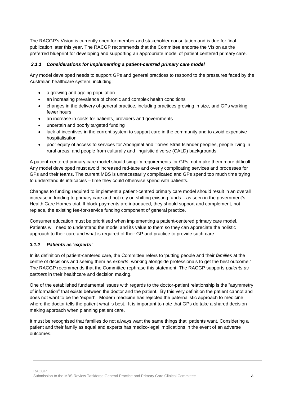The RACGP's Vision is currently open for member and stakeholder consultation and is due for final publication later this year. The RACGP recommends that the Committee endorse the Vision as the preferred blueprint for developing and supporting an appropriate model of patient centered primary care.

#### *3.1.1 Considerations for implementing a patient-centred primary care model*

Any model developed needs to support GPs and general practices to respond to the pressures faced by the Australian healthcare system, including:

- a growing and ageing population
- an increasing prevalence of chronic and complex health conditions
- changes in the delivery of general practice, including practices growing in size, and GPs working fewer hours
- an increase in costs for patients, providers and governments
- uncertain and poorly targeted funding
- lack of incentives in the current system to support care in the community and to avoid expensive hospitalisation
- poor equity of access to services for Aboriginal and Torres Strait Islander peoples, people living in rural areas, and people from culturally and linguistic diverse (CALD) backgrounds.

A patient-centered primary care model should simplify requirements for GPs, not make them more difficult. Any model developed must avoid increased red-tape and overly complicating services and processes for GPs and their teams. The current MBS is unnecessarily complicated and GPs spend too much time trying to understand its intricacies – time they could otherwise spend with patients.

Changes to funding required to implement a patient-centred primary care model should result in an overall increase in funding to primary care and not rely on shifting existing funds – as seen in the government's Health Care Homes trial. If block payments are introduced, they should support and complement, not replace, the existing fee-for-service funding component of general practice.

Consumer education must be prioritised when implementing a patient-centered primary care model. Patients will need to understand the model and its value to them so they can appreciate the holistic approach to their care and what is required of their GP and practice to provide such care.

#### *3.1.2 Patients as 'experts'*

In its definition of patient-centered care, the Committee refers to 'putting people and their *families* at the centre of decisions and seeing them as *experts*, working alongside professionals to get the best outcome.' The RACGP recommends that the Committee rephrase this statement. The RACGP supports *patients as partners* in their healthcare and decision making.

One of the established fundamental issues with regards to the doctor-patient relationship is the "asymmetry of information" that exists between the doctor and the patient. By this very definition the patient cannot and does not want to be the 'expert'. Modern medicine has rejected the paternalistic approach to medicine where the doctor tells the patient what is best. It is important to note that GPs do take a shared decision making approach when planning patient care.

It must be recognised that families do not always want the same things that patients want. Considering a patient and their family as equal and experts has medico-legal implications in the event of an adverse outcomes.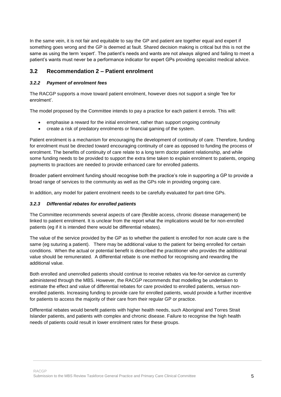In the same vein, it is not fair and equitable to say the GP and patient are together equal and expert if something goes wrong and the GP is deemed at fault. Shared decision making is critical but this is not the same as using the term 'expert'. The patient's needs and wants are not always aligned and failing to meet a patient's wants must never be a performance indicator for expert GPs providing specialist medical advice.

### <span id="page-5-0"></span>**3.2 Recommendation 2 – Patient enrolment**

#### *3.2.2 Payment of enrolment fees*

The RACGP supports a move toward patient enrolment, however does not support a single 'fee for enrolment'.

The model proposed by the Committee intends to pay a practice for each patient it enrols. This will:

- emphasise a reward for the initial enrolment, rather than support ongoing continuity
- create a risk of predatory enrolments or financial gaming of the system.

Patient enrolment is a mechanism for encouraging the development of continuity of care. Therefore, funding for enrolment must be directed toward encouraging continuity of care as opposed to funding the process of enrolment. The benefits of continuity of care relate to a long term doctor patient relationship, and while some funding needs to be provided to support the extra time taken to explain enrolment to patients, ongoing payments to practices are needed to provide enhanced care for enrolled patients.

Broader patient enrolment funding should recognise both the practice's role in supporting a GP to provide a broad range of services to the community as well as the GPs role in providing ongoing care.

In addition, any model for patient enrolment needs to be carefully evaluated for part-time GPs.

#### *3.2.3 Differential rebates for enrolled patients*

The Committee recommends several aspects of care (flexible access, chronic disease management) be linked to patient enrolment. It is unclear from the report what the implications would be for non-enrolled patients (eg if it is intended there would be differential rebates).

The value of the service provided by the GP as to whether the patient is enrolled for non acute care is the same (eg suturing a patient). There may be additional value to the patient for being enrolled for certain conditions. When the actual or potential benefit is described the practitioner who provides the additional value should be remunerated. A differential rebate is one method for recognising and rewarding the additional value.

Both enrolled and unenrolled patients should continue to receive rebates via fee-for-service as currently administered through the MBS. However, the RACGP recommends that modelling be undertaken to estimate the effect and value of differential rebates for care provided to enrolled patients, versus nonenrolled patients. Increasing funding to provide care for enrolled patients, would provide a further incentive for patients to access the majority of their care from their regular GP or practice.

Differential rebates would benefit patients with higher health needs, such Aboriginal and Torres Strait Islander patients, and patients with complex and chronic disease. Failure to recognise the high health needs of patients could result in lower enrolment rates for these groups.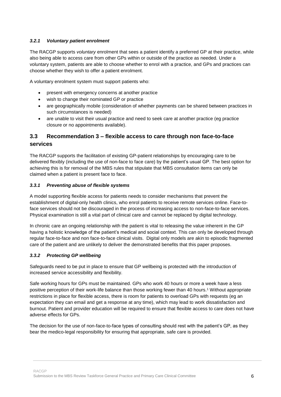#### *3.2.1 Voluntary patient enrolment*

The RACGP supports *voluntary* enrolment that sees a patient identify a preferred GP at their practice, while also being able to access care from other GPs within or outside of the practice as needed. Under a voluntary system, patients are able to choose whether to enrol with a practice, and GPs and practices can choose whether they wish to offer a patient enrolment.

A voluntary enrolment system must support patients who:

- present with emergency concerns at another practice
- wish to change their nominated GP or practice
- are geographically mobile (consideration of whether payments can be shared between practices in such circumstances is needed)
- are unable to visit their usual practice and need to seek care at another practice (eg practice closure or no appointments available).

# <span id="page-6-0"></span>**3.3 Recommendation 3 – flexible access to care through non face-to-face services**

The RACGP supports the facilitation of existing GP-patient relationships by encouraging care to be delivered flexibly (including the use of non-face to face care) by the patient's usual GP. The best option for achieving this is for removal of the MBS rules that stipulate that MBS consultation items can only be claimed when a patient is present face to face.

#### *3.3.1 Preventing abuse of flexible systems*

A model supporting flexible access for patients needs to consider mechanisms that prevent the establishment of digital-only health clinics, who enrol patients to receive remote services online. Face-toface services should not be discouraged in the process of increasing access to non-face-to-face services. Physical examination is still a vital part of clinical care and cannot be replaced by digital technology.

In chronic care an ongoing relationship with the patient is vital to releasing the value inherent in the GP having a holistic knowledge of the patient's medical and social context. This can only be developed through regular face-to-face and non face-to-face clinical visits. Digital only models are akin to episodic fragmented care of the patient and are unlikely to deliver the demonstrated benefits that this paper proposes.

#### *3.3.2 Protecting GP wellbeing*

Safeguards need to be put in place to ensure that GP wellbeing is protected with the introduction of increased service accessibility and flexibility.

Safe working hours for GPs must be maintained. GPs who work 40 hours or more a week have a less positive perception of their work-life balance than those working fewer than 40 hours.<sup>1</sup> Without appropriate restrictions in place for flexible access, there is room for patients to overload GPs with requests (eg an expectation they can email and get a response at any time), which may lead to work dissatisfaction and burnout. Patient and provider education will be required to ensure that flexible access to care does not have adverse effects for GPs.

The decision for the use of non-face-to-face types of consulting should rest with the patient's GP, as they bear the medico-legal responsibility for ensuring that appropriate, safe care is provided.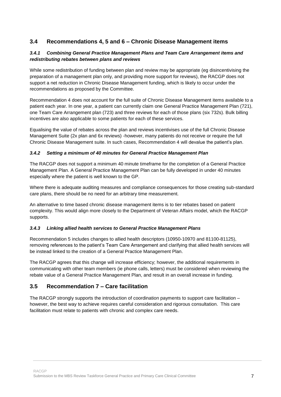# <span id="page-7-0"></span>**3.4 Recommendations 4, 5 and 6 – Chronic Disease Management items**

#### *3.4.1 Combining General Practice Management Plans and Team Care Arrangement items and redistributing rebates between plans and reviews*

While some redistribution of funding between plan and review may be appropriate (eg disincentivising the preparation of a management plan only, and providing more support for reviews), the RACGP does not support a net reduction in Chronic Disease Management funding, which is likely to occur under the recommendations as proposed by the Committee.

Recommendation 4 does not account for the full suite of Chronic Disease Management items available to a patient each year. In one year, a patient can currently claim one General Practice Management Plan (721), one Team Care Arrangement plan (723) and three reviews for each of those plans (six 732s). Bulk billing incentives are also applicable to some patients for each of these services.

Equalising the value of rebates across the plan and reviews incentivises use of the full Chronic Disease Management Suite (2x plan and 6x reviews) -however, many patients do not receive or require the full Chronic Disease Management suite. In such cases, Recommendation 4 will devalue the patient's plan.

#### *3.4.2 Setting a minimum of 40 minutes for General Practice Management Plan*

The RACGP does not support a minimum 40 minute timeframe for the completion of a General Practice Management Plan. A General Practice Management Plan can be fully developed in under 40 minutes especially where the patient is well known to the GP.

Where there is adequate auditing measures and compliance consequences for those creating sub-standard care plans, there should be no need for an arbitrary time measurement.

An alternative to time based chronic disease management items is to tier rebates based on patient complexity. This would align more closely to the Department of Veteran Affairs model, which the RACGP supports.

#### *3.4.3 Linking allied health services to General Practice Management Plans*

Recommendation 5 includes changes to allied health descriptors (10950-10970 and 81100-81125), removing references to the patient's Team Care Arrangement and clarifying that allied health services will be instead linked to the creation of a General Practice Management Plan.

The RACGP agrees that this change will increase efficiency; however, the additional requirements in communicating with other team members (ie phone calls, letters) must be considered when reviewing the rebate value of a General Practice Management Plan, and result in an overall increase in funding.

### <span id="page-7-1"></span>**3.5 Recommendation 7 – Care facilitation**

The RACGP strongly supports the introduction of coordination payments to support care facilitation – however, the best way to achieve requires careful consideration and rigorous consultation. This care facilitation must relate to patients with chronic and complex care needs.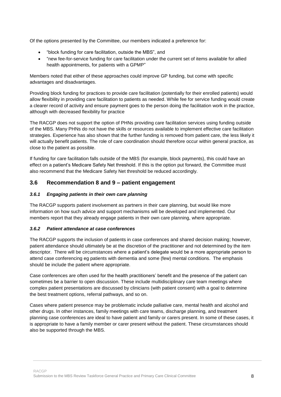Of the options presented by the Committee, our members indicated a preference for:

- "block funding for care facilitation, outside the MBS", and
- "new fee-for-service funding for care facilitation under the current set of items available for allied health appointments, for patients with a GPMP"

Members noted that either of these approaches could improve GP funding, but come with specific advantages and disadvantages.

Providing block funding for practices to provide care facilitation (potentially for their enrolled patients) would allow flexibility in providing care facilitation to patients as needed. While fee for service funding would create a clearer record of activity and ensure payment goes to the person doing the facilitation work in the practice, although with decreased flexibility for practice

The RACGP does not support the option of PHNs providing care facilitation services using funding outside of the MBS. Many PHNs do not have the skills or resources available to implement effective care facilitation strategies. Experience has also shown that the further funding is removed from patient care, the less likely it will actually benefit patients. The role of care coordination should therefore occur within general practice, as close to the patient as possible.

If funding for care facilitation falls outside of the MBS (for example, block payments), this could have an effect on a patient's Medicare Safety Net threshold. If this is the option put forward, the Committee must also recommend that the Medicare Safety Net threshold be reduced accordingly.

#### <span id="page-8-0"></span>**3.6 Recommendation 8 and 9 – patient engagement**

#### *3.6.1 Engaging patients in their own care planning*

The RACGP supports patient involvement as partners in their care planning, but would like more information on how such advice and support mechanisms will be developed and implemented. Our members report that they already engage patients in their own care planning, where appropriate.

#### *3.6.2 Patient attendance at case conferences*

The RACGP supports the inclusion of patients in case conferences and shared decision making; however, patient attendance should ultimately be at the discretion of the practitioner and not determined by the item descriptor. There will be circumstances where a patient's delegate would be a more appropriate person to attend case conferencing eg patients with dementia and some (few) mental conditions. The emphasis should be include the patient where appropriate.

Case conferences are often used for the health practitioners' benefit and the presence of the patient can sometimes be a barrier to open discussion. These include multidisciplinary care team meetings where complex patient presentations are discussed by clinicians (with patient consent) with a goal to determine the best treatment options, referral pathways, and so on.

Cases where patient presence may be problematic include palliative care, mental health and alcohol and other drugs. In other instances, family meetings with care teams, discharge planning, and treatment planning case conferences are ideal to have patient and family or carers present. In some of these cases, it is appropriate to have a family member or carer present without the patient. These circumstances should also be supported through the MBS.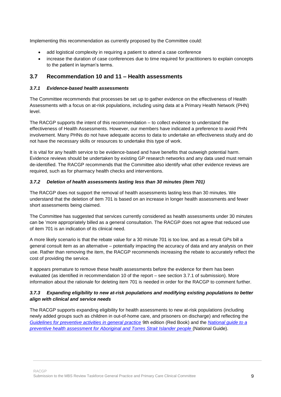Implementing this recommendation as currently proposed by the Committee could:

- add logistical complexity in requiring a patient to attend a case conference
- increase the duration of case conferences due to time required for practitioners to explain concepts to the patient in layman's terms.

### <span id="page-9-0"></span>**3.7 Recommendation 10 and 11 – Health assessments**

#### *3.7.1 Evidence-based health assessments*

The Committee recommends that processes be set up to gather evidence on the effectiveness of Health Assessments with a focus on at-risk populations, including using data at a Primary Health Network (PHN) level.

The RACGP supports the intent of this recommendation – to collect evidence to understand the effectiveness of Health Assessments. However, our members have indicated a preference to avoid PHN involvement. Many PHNs do not have adequate access to data to undertake an effectiveness study and do not have the necessary skills or resources to undertake this type of work.

It is vital for any health service to be evidence-based and have benefits that outweigh potential harm. Evidence reviews should be undertaken by existing GP research networks and any data used must remain de-identified. The RACGP recommends that the Committee also identify what other evidence reviews are required, such as for pharmacy health checks and interventions.

#### *3.7.2 Deletion of health assessments lasting less than 30 minutes (item 701)*

The RACGP does not support the removal of health assessments lasting less than 30 minutes. We understand that the deletion of item 701 is based on an increase in longer health assessments and fewer short assessments being claimed.

The Committee has suggested that services currently considered as health assessments under 30 minutes can be 'more appropriately billed as a general consultation. The RACGP does not agree that reduced use of item 701 is an indication of its clinical need.

A more likely scenario is that the rebate value for a 30 minute 701 is too low, and as a result GPs bill a general consult item as an alternative – potentially impacting the accuracy of data and any analysis on their use. Rather than removing the item, the RACGP recommends increasing the rebate to accurately reflect the cost of providing the service.

It appears premature to remove these health assessments before the evidence for them has been evaluated (as identified in recommendation 10 of the report – see section 3.7.1 of submission). More information about the rationale for deleting item 701 is needed in order for the RACGP to comment further.

#### *3.7.3 Expanding eligibility to new at-risk populations and modifying existing populations to better align with clinical and service needs*

The RACGP supports expanding eligibility for health assessments to new at-risk populations (including newly added groups such as children in out-of-home care, and prisoners on discharge) and reflecting the *[Guidelines for preventive activities in general practice](https://www.racgp.org.au/clinical-resources/clinical-guidelines/key-racgp-guidelines/view-all-racgp-guidelines/red-book)* 9th edition (Red Book) and the *[National guide to a](https://www.racgp.org.au/clinical-resources/clinical-guidelines/key-racgp-guidelines/view-all-racgp-guidelines/national-guide)  [preventive health assessment for Aboriginal and Torres Strait Islander people](https://www.racgp.org.au/clinical-resources/clinical-guidelines/key-racgp-guidelines/view-all-racgp-guidelines/national-guide)* (National Guide).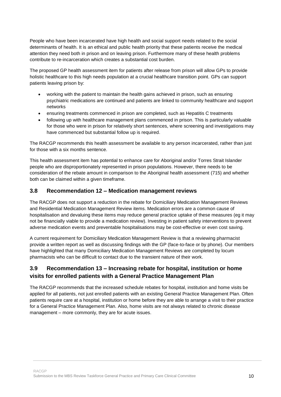People who have been incarcerated have high health and social support needs related to the social determinants of health. It is an ethical and public health priority that these patients receive the medical attention they need both in prison and on leaving prison. Furthermore many of these health problems contribute to re-incarceration which creates a substantial cost burden.

The proposed GP health assessment item for patients after release from prison will allow GPs to provide holistic healthcare to this high needs population at a crucial healthcare transition point. GPs can support patients leaving prison by:

- working with the patient to maintain the health gains achieved in prison, such as ensuring psychiatric medications are continued and patients are linked to community healthcare and support networks
- ensuring treatments commenced in prison are completed, such as Hepatitis C treatments
- following up with healthcare management plans commenced in prison. This is particularly valuable for those who were in prison for relatively short sentences, where screening and investigations may have commenced but substantial follow up is required.

The RACGP recommends this health assessment be available to any person incarcerated, rather than just for those with a six months sentence.

This health assessment item has potential to enhance care for Aboriginal and/or Torres Strait Islander people who are disproportionately represented in prison populations. However, there needs to be consideration of the rebate amount in comparison to the Aboriginal health assessment (715) and whether both can be claimed within a given timeframe.

#### <span id="page-10-0"></span>**3.8 Recommendation 12 – Medication management reviews**

The RACGP does not support a reduction in the rebate for Domiciliary Medication Management Reviews and Residential Medication Management Review items. Medication errors are a common cause of hospitalisation and devaluing these items may reduce general practice uptake of these measures (eg it may not be financially viable to provide a medication review). Investing in patient safety interventions to prevent adverse medication events and preventable hospitalisations may be cost-effective or even cost saving.

A current requirement for Domiciliary Medication Management Review is that a reviewing pharmacist provide a written report as well as discussing findings with the GP (face-to-face or by phone). Our members have highlighted that many Domiciliary Medication Management Reviews are completed by locum pharmacists who can be difficult to contact due to the transient nature of their work.

# <span id="page-10-1"></span>**3.9 Recommendation 13 – Increasing rebate for hospital, institution or home visits for enrolled patients with a General Practice Management Plan**

The RACGP recommends that the increased schedule rebates for hospital, institution and home visits be applied for all patients, not just enrolled patients with an existing General Practice Management Plan. Often patients require care at a hospital, institution or home before they are able to arrange a visit to their practice for a General Practice Management Plan. Also, home visits are not always related to chronic disease management – more commonly, they are for acute issues.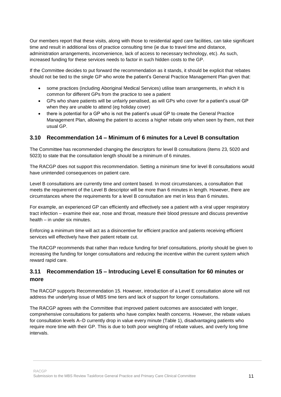Our members report that these visits, along with those to residential aged care facilities, can take significant time and result in additional loss of practice consulting time (ie due to travel time and distance, administration arrangements, inconvenience, lack of access to necessary technology, etc). As such, increased funding for these services needs to factor in such hidden costs to the GP.

If the Committee decides to put forward the recommendation as it stands, it should be explicit that rebates should not be tied to the single GP who wrote the patient's General Practice Management Plan given that:

- some practices (including Aboriginal Medical Services) utilise team arrangements, in which it is common for different GPs from the practice to see a patient
- GPs who share patients will be unfairly penalised, as will GPs who cover for a patient's usual GP when they are unable to attend (eg holiday cover)
- there is potential for a GP who is not the patient's usual GP to create the General Practice Management Plan, allowing the patient to access a higher rebate only when seen by them, not their usual GP.

### <span id="page-11-0"></span>**3.10 Recommendation 14 – Minimum of 6 minutes for a Level B consultation**

The Committee has recommended changing the descriptors for level B consultations (items 23, 5020 and 5023) to state that the consultation length should be a minimum of 6 minutes.

The RACGP does not support this recommendation. Setting a minimum time for level B consultations would have unintended consequences on patient care.

Level B consultations are currently time and content based. In most circumstances, a consultation that meets the requirement of the Level B descriptor will be more than 6 minutes in length. However, there are circumstances where the requirements for a level B consultation are met in less than 6 minutes.

For example, an experienced GP can efficiently and effectively see a patient with a viral upper respiratory tract infection – examine their ear, nose and throat, measure their blood pressure and discuss preventive health – in under six minutes.

Enforcing a minimum time will act as a disincentive for efficient practice and patients receiving efficient services will effectively have their patient rebate cut.

The RACGP recommends that rather than reduce funding for brief consultations, priority should be given to increasing the funding for longer consultations and reducing the incentive within the current system which reward rapid care.

# <span id="page-11-1"></span>**3.11 Recommendation 15 – Introducing Level E consultation for 60 minutes or more**

The RACGP supports Recommendation 15. However, introduction of a Level E consultation alone will not address the underlying issue of MBS time tiers and lack of support for longer consultations.

The RACGP agrees with the Committee that improved patient outcomes are associated with longer, comprehensive consultations for patients who have complex health concerns. However, the rebate values for consultation levels A–D currently drop in value every minute (Table 1), disadvantaging patients who require more time with their GP. This is due to both poor weighting of rebate values, and overly long time intervals.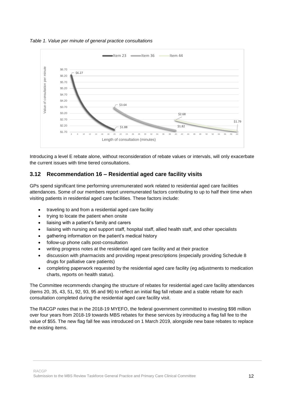*Table 1. Value per minute of general practice consultations*



<span id="page-12-0"></span>Introducing a level E rebate alone, without reconsideration of rebate values or intervals, will only exacerbate the current issues with time tiered consultations.

# **3.12 Recommendation 16 – Residential aged care facility visits**

GPs spend significant time performing unremunerated work related to residential aged care facilities attendances. Some of our members report unremunerated factors contributing to up to half their time when visiting patients in residential aged care facilities. These factors include:

- traveling to and from a residential aged care facility
- trying to locate the patient when onsite
- liaising with a patient's family and carers
- liaising with nursing and support staff, hospital staff, allied health staff, and other specialists
- gathering information on the patient's medical history
- follow-up phone calls post-consultation
- writing progress notes at the residential aged care facility and at their practice
- discussion with pharmacists and providing repeat prescriptions (especially providing Schedule 8 drugs for palliative care patients)
- completing paperwork requested by the residential aged care facility (eg adjustments to medication charts, reports on health status).

The Committee recommends changing the structure of rebates for residential aged care facility attendances (items 20, 35, 43, 51, 92, 93, 95 and 96) to reflect an initial flag fall rebate and a stable rebate for each consultation completed during the residential aged care facility visit.

The RACGP notes that in the 2018-19 MYEFO, the federal government committed to investing \$98 million over four years from 2018-19 towards MBS rebates for these services by introducing a flag fall fee to the value of \$55. The new flag fall fee was introduced on 1 March 2019, alongside new base rebates to replace the existing items.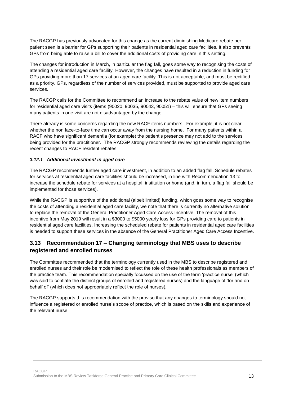The RACGP has previously advocated for this change as the current diminishing Medicare rebate per patient seen is a barrier for GPs supporting their patients in residential aged care facilities. It also prevents GPs from being able to raise a bill to cover the additional costs of providing care in this setting.

The changes for introduction in March, in particular the flag fall, goes some way to recognising the costs of attending a residential aged care facility. However, the changes have resulted in a reduction in funding for GPs providing more than 17 services at an aged care facility. This is not acceptable, and must be rectified as a priority. GPs, regardless of the number of services provided, must be supported to provide aged care services.

The RACGP calls for the Committee to recommend an increase to the rebate value of new item numbers for residential aged care visits (items (90020, 90035, 90043, 90051) – this will ensure that GPs seeing many patients in one visit are not disadvantaged by the change.

There already is some concerns regarding the new RACF items numbers. For example, it is not clear whether the non face-to-face time can occur away from the nursing home. For many patients within a RACF who have significant dementia (for example) the patient's presence may not add to the services being provided for the practitioner. The RACGP strongly recommends reviewing the details regarding the recent changes to RACF resident rebates.

#### *3.12.1 Additional investment in aged care*

The RACGP recommends further aged care investment, in addition to an added flag fall. Schedule rebates for services at residential aged care facilities should be increased, in line with Recommendation 13 to increase the schedule rebate for services at a hospital, institution or home (and, in turn, a flag fall should be implemented for those services).

While the RACGP is supportive of the additional (albeit limited) funding, which goes some way to recognise the costs of attending a residential aged care facility, we note that there is currently no alternative solution to replace the removal of the General Practitioner Aged Care Access Incentive. The removal of this incentive from May 2019 will result in a \$3000 to \$5000 yearly loss for GPs providing care to patients in residential aged care facilities. Increasing the scheduled rebate for patients in residential aged care facilities is needed to support these services in the absence of the General Practitioner Aged Care Access Incentive.

# <span id="page-13-0"></span>**3.13 Recommendation 17 – Changing terminology that MBS uses to describe registered and enrolled nurses**

The Committee recommended that the terminology currently used in the MBS to describe registered and enrolled nurses and their role be modernised to reflect the role of these health professionals as members of the practice team. This recommendation specially focussed on the use of the term 'practice nurse' (which was said to conflate the distinct groups of enrolled and registered nurses) and the language of 'for and on behalf of' (which does not appropriately reflect the role of nurses).

<span id="page-13-1"></span>The RACGP supports this recommendation with the proviso that any changes to terminology should not influence a registered or enrolled nurse's scope of practice, which is based on the skills and experience of the relevant nurse.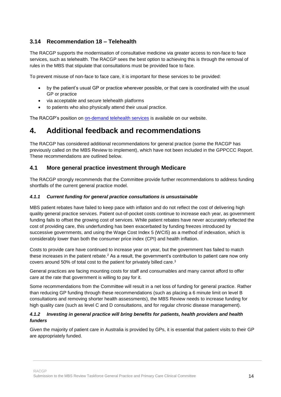# **3.14 Recommendation 18 – Telehealth**

The RACGP supports the modernisation of consultative medicine via greater access to non-face to face services, such as telehealth. The RACGP sees the best option to achieving this is through the removal of rules in the MBS that stipulate that consultations must be provided face to face.

To prevent misuse of non-face to face care, it is important for these services to be provided:

- by the patient's usual GP or practice wherever possible, or that care is coordinated with the usual GP or practice
- via acceptable and secure telehealth platforms
- to patients who also physically attend their usual practice.

The RACGP's position on [on-demand telehealth services](https://www.racgp.org.au/advocacy/position-statements/view-all-position-statements/health-systems-and-environmental/on-demand-telehealth-services) is available on our website.

# <span id="page-14-0"></span>**4. Additional feedback and recommendations**

The RACGP has considered additional recommendations for general practice (some the RACGP has previously called on the MBS Review to implement), which have not been included in the GPPCCC Report. These recommendations are outlined below.

### <span id="page-14-1"></span>**4.1 More general practice investment through Medicare**

The RACGP strongly recommends that the Committee provide further recommendations to address funding shortfalls of the current general practice model.

#### *4.1.1 Current funding for general practice consultations is unsustainable*

MBS patient rebates have failed to keep pace with inflation and do not reflect the cost of delivering high quality general practice services. Patient out-of-pocket costs continue to increase each year, as government funding fails to offset the growing cost of services. While patient rebates have never accurately reflected the cost of providing care, this underfunding has been exacerbated by funding freezes introduced by successive governments, and using the Wage Cost Index 5 (WCI5) as a method of indexation, which is considerably lower than both the consumer price index (CPI) and health inflation.

Costs to provide care have continued to increase year on year, but the government has failed to match these increases in the patient rebate.<sup>2</sup> As a result, the government's contribution to patient care now only covers around 50% of total cost to the patient for privately billed care. 3

General practices are facing mounting costs for staff and consumables and many cannot afford to offer care at the rate that government is willing to pay for it.

Some recommendations from the Committee will result in a net loss of funding for general practice. Rather than reducing GP funding through these recommendations (such as placing a 6 minute limit on level B consultations and removing shorter health assessments), the MBS Review needs to increase funding for high quality care (such as level C and D consultations, and for regular chronic disease management).

#### *4.1.2 Investing in general practice will bring benefits for patients, health providers and health funders*

Given the majority of patient care in Australia is provided by GPs, it is essential that patient visits to their GP are appropriately funded.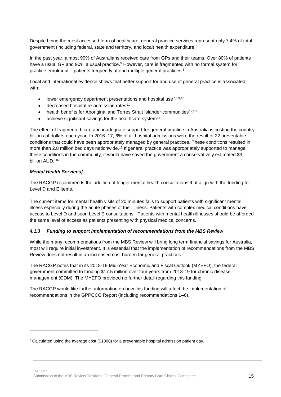Despite being the most accessed form of healthcare, general practice services represent only 7.4% of total government (including federal, state and territory, and local) health expenditure.<sup>4</sup>

In the past year, almost 90% of Australians received care from GPs and their teams. Over 80% of patients have a usual GP and 90% a usual practice.<sup>5</sup> However, care is fragmented with no formal system for practice enrolment – patients frequently attend multiple general practices.<sup>6</sup>

Local and international evidence shows that better support for and use of general practice is associated with:

- lower emergency department presentations and hospital use<sup>7,8,9,10</sup>
- decreased hospital re-admission rates<sup>11</sup>
- health benefits for Aboriginal and Torres Strait Islander communities<sup>12,13</sup>
- achieve significant savings for the healthcare system<sup>14</sup>

The effect of fragmented care and inadequate support for general practice in Australia is costing the country billions of dollars each year. In 2016–17, 6% of all hospital admissions were the result of 22 preventable conditions that could have been appropriately managed by general practices. These conditions resulted in more than 2.8 million bed days nationwide.<sup>15</sup> If general practice was appropriately supported to manage these conditions in the community, it would have saved the government a conservatively estimated \$3 billion AUD.\*16

#### *Mental Health Services]*

1

The RACGP recommends the addition of longer mental health consultations that align with the funding for Level D and E items.

The current items for mental health visits of 20 minutes fails to support patients with significant mental illness especially during the acute phases of their illness. Patients with complex medical conditions have access to Level D and soon Level E consultations. Patients with mental health illnesses should be afforded the same level of access as patients presenting with physical medical concerns.

#### *4.1.3 Funding to support implementation of recommendations from the MBS Review*

While the many recommendations from the MBS Review will bring long term financial savings for Australia, most will require initial investment. It is essential that the implementation of recommendations from the MBS Review does not result in an increased cost burden for general practices.

The RACGP notes that in its 2018-19 Mid-Year Economic and Fiscal Outlook (MYEFO), the federal government committed to funding \$17.5 million over four years from 2018-19 for chronic disease management (CDM). The MYEFO provided no further detail regarding this funding.

The RACGP would like further information on how this funding will affect the implementation of recommendations in the GPPCCC Report (including recommendations 1–6).

<sup>\*</sup> Calculated using the average cost (\$1000) for a preventable hospital admission patient day.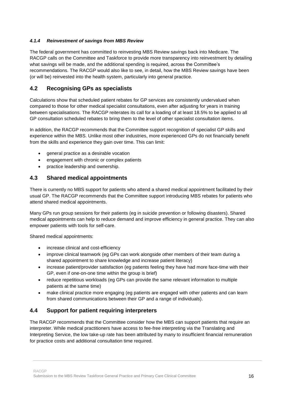#### *4.1.4 Reinvestment of savings from MBS Review*

The federal government has committed to reinvesting MBS Review savings back into Medicare. The RACGP calls on the Committee and Taskforce to provide more transparency into reinvestment by detailing what savings will be made, and the additional spending is required, across the Committee's recommendations. The RACGP would also like to see, in detail, how the MBS Review savings have been (or will be) reinvested into the health system, particularly into general practice.

# <span id="page-16-0"></span>**4.2 Recognising GPs as specialists**

Calculations show that scheduled patient rebates for GP services are consistently undervalued when compared to those for other medical specialist consultations, even after adjusting for years in training between specialisations. The RACGP reiterates its call for a loading of at least 18.5% to be applied to all GP consultation scheduled rebates to bring them to the level of other specialist consultation items.

In addition, the RACGP recommends that the Committee support recognition of specialist GP skills and experience within the MBS. Unlike most other industries, more experienced GPs do not financially benefit from the skills and experience they gain over time. This can limit:

- general practice as a desirable vocation
- engagement with chronic or complex patients
- practice leadership and ownership.

### <span id="page-16-1"></span>**4.3 Shared medical appointments**

There is currently no MBS support for patients who attend a shared medical appointment facilitated by their usual GP. The RACGP recommends that the Committee support introducing MBS rebates for patients who attend shared medical appointments.

Many GPs run group sessions for their patients (eg in suicide prevention or following disasters). Shared medical appointments can help to reduce demand and improve efficiency in general practice. They can also empower patients with tools for self-care.

Shared medical appointments:

- increase clinical and cost-efficiency
- improve clinical teamwork (eg GPs can work alongside other members of their team during a shared appointment to share knowledge and increase patient literacy)
- increase patient/provider satisfaction (eg patients feeling they have had more face-time with their GP, even if one-on-one time within the group is brief)
- reduce repetitious workloads (eg GPs can provide the same relevant information to multiple patients at the same time)
- <span id="page-16-2"></span> make clinical practice more engaging (eg patients are engaged with other patients and can learn from shared communications between their GP and a range of individuals).

# **4.4 Support for patient requiring interpreters**

The RACGP recommends that the Committee consider how the MBS can support patients that require an interpreter. While medical practitioners have access to fee-free interpreting via the Translating and Interpreting Service, the low take-up rate has been attributed by many to insufficient financial remuneration for practice costs and additional consultation time required.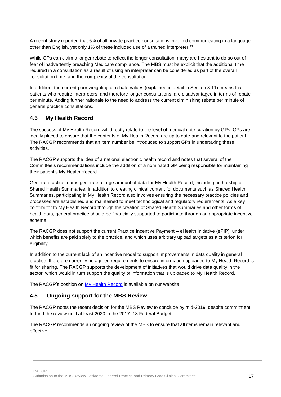A recent study reported that 5% of all private practice consultations involved communicating in a language other than English, yet only 1% of these included use of a trained interpreter.<sup>17</sup>

While GPs can claim a longer rebate to reflect the longer consultation, many are hesitant to do so out of fear of inadvertently breaching Medicare compliance. The MBS must be explicit that the additional time required in a consultation as a result of using an interpreter can be considered as part of the overall consultation time, and the complexity of the consultation.

In addition, the current poor weighting of rebate values (explained in detail in Section 3.11) means that patients who require interpreters, and therefore longer consultations, are disadvantaged in terms of rebate per minute. Adding further rationale to the need to address the current diminishing rebate per minute of general practice consultations.

#### <span id="page-17-0"></span>**4.5 My Health Record**

The success of My Health Record will directly relate to the level of medical note curation by GPs. GPs are ideally placed to ensure that the contents of My Health Record are up to date and relevant to the patient. The RACGP recommends that an item number be introduced to support GPs in undertaking these activities.

The RACGP supports the idea of a national electronic health record and notes that several of the Committee's recommendations include the addition of a nominated GP being responsible for maintaining their patient's My Health Record.

General practice teams generate a large amount of data for My Health Record, including authorship of Shared Health Summaries. In addition to creating clinical content for documents such as Shared Health Summaries, participating in My Health Record also involves ensuring the necessary practice policies and processes are established and maintained to meet technological and regulatory requirements. As a key contributor to My Health Record through the creation of Shared Health Summaries and other forms of health data, general practice should be financially supported to participate through an appropriate incentive scheme.

The RACGP does not support the current Practice Incentive Payment – eHealth Initiative (ePIP), under which benefits are paid solely to the practice, and which uses arbitrary upload targets as a criterion for eligibility.

In addition to the current lack of an incentive model to support improvements in data quality in general practice, there are currently no agreed requirements to ensure information uploaded to My Health Record is fit for sharing. The RACGP supports the development of initiatives that would drive data quality in the sector, which would in turn support the quality of information that is uploaded to My Health Record.

The RACGP's position on [My Health Record](https://www.racgp.org.au/FSDEDEV/media/documents/RACGP/Position%20statements/RACGP-Position-Statement-My-Health-Record.pdf) is available on our website.

#### <span id="page-17-1"></span>**4.5 Ongoing support for the MBS Review**

The RACGP notes the recent decision for the MBS Review to conclude by mid-2019, despite commitment to fund the review until at least 2020 in the 2017–18 Federal Budget.

The RACGP recommends an ongoing review of the MBS to ensure that all items remain relevant and effective.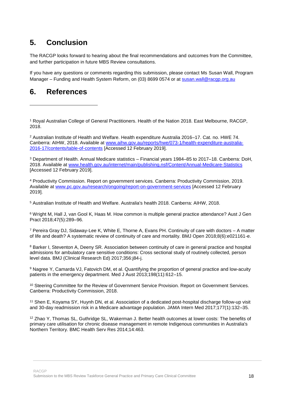# <span id="page-18-0"></span>**5. Conclusion**

The RACGP looks forward to hearing about the final recommendations and outcomes from the Committee, and further participation in future MBS Review consultations.

If you have any questions or comments regarding this submission, please contact Ms Susan Wall, Program Manager – Funding and Health System Reform, on (03) 8699 0574 or at [susan.wall@racgp.org.au](mailto:susan.wall@racgp.org.au)

# <span id="page-18-1"></span>**6. References**

1

<sup>1</sup> Royal Australian College of General Practitioners. Health of the Nation 2018. East Melbourne, RACGP, 2018.

<sup>2</sup> Australian Institute of Health and Welfare. Health expenditure Australia 2016–17. Cat. no. HWE 74. Canberra: AIHW, 2018. Available at [www.aihw.gov.au/reports/hwe/073-1/health-expenditure-australia-](http://www.aihw.gov.au/reports/hwe/073-1/health-expenditure-australia-2016-17/contents/table-of-contents)[2016-17/contents/table-of-contents](http://www.aihw.gov.au/reports/hwe/073-1/health-expenditure-australia-2016-17/contents/table-of-contents) [Accessed 12 February 2019].

<sup>3</sup> Department of Health. Annual Medicare statistics – Financial years 1984–85 to 2017–18. Canberra: DoH, 2018. Available at [www.health.gov.au/internet/main/publishing.nsf/Content/Annual-Medicare-Statistics](http://www.health.gov.au/internet/main/publishing.nsf/Content/Annual-Medicare-Statistics) [Accessed 12 February 2019].

<sup>4</sup> Productivity Commission. Report on government services. Canberra: Productivity Commission, 2019. Available at [www.pc.gov.au/research/ongoing/report-on-government-services](http://www.pc.gov.au/research/ongoing/report-on-government-services) [Accessed 12 February 2019].

<sup>5</sup> Australian Institute of Health and Welfare. Australia's health 2018. Canberra: AIHW, 2018.

<sup>6</sup> Wright M, Hall J, van Gool K, Haas M. How common is multiple general practice attendance? Aust J Gen Pract 2018;47(5):289–96.

<sup>7</sup> Pereira Gray DJ, Sidaway-Lee K, White E, Thorne A, Evans PH. Continuity of care with doctors – A matter of life and death? A systematic review of continuity of care and mortality. BMJ Open 2018;8(6):e021161-e.

<sup>8</sup> Barker I, Steventon A, Deeny SR. Association between continuity of care in general practice and hospital admissions for ambulatory care sensitive conditions: Cross sectional study of routinely collected, person level data. BMJ (Clinical Research Ed) 2017;356:j84-j.

<sup>9</sup> Nagree Y, Camarda VJ, Fatovich DM, et al. Quantifying the proportion of general practice and low-acuity patients in the emergency department. Med J Aust 2013;198(11):612–15.

<sup>10</sup> Steering Committee for the Review of Government Service Provision. Report on Government Services. Canberra: Productivity Commission, 2018.

<sup>11</sup> Shen E, Koyama SY, Huynh DN, et al. Association of a dedicated post-hospital discharge follow-up visit and 30-day readmission risk in a Medicare advantage population. JAMA Intern Med 2017;177(1):132–35.

<sup>12</sup> Zhao Y, Thomas SL, Guthridge SL, Wakerman J. Better health outcomes at lower costs: The benefits of primary care utilisation for chronic disease management in remote Indigenous communities in Australia's Northern Territory. BMC Health Serv Res 2014;14:463.